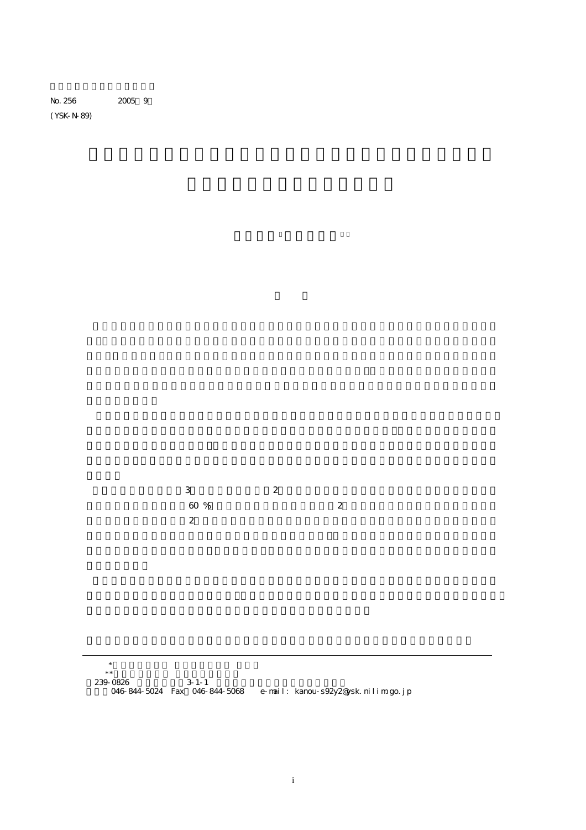No. 256 2005 9

(YSK-N-89)

3 a  $\sim$  2  $60\%$  2  $\overline{2}$ 

239-0826 3-1-1 電話:046-844-5024 Fax:046-844-5068 e-mail: kanou-s92y2@ysk.nilim.go.jp

 <sup>\*</sup>沿岸海洋研究部 沿岸防災研究室 研究官  $*$  宗教 化二氯化物 化二氯化物 化二氯化物 化二氯化物